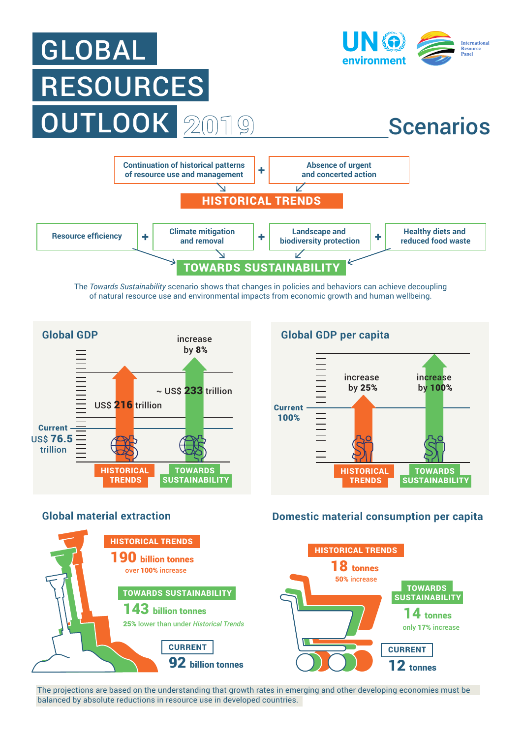

The *Towards Sustainability* scenario shows that changes in policies and behaviors can achieve decoupling of natural resource use and environmental impacts from economic growth and human wellbeing.



## **Global GDP per capita**





## **Global material extraction Domestic material consumption per capita**



The projections are based on the understanding that growth rates in emerging and other developing economies must be balanced by absolute reductions in resource use in developed countries.